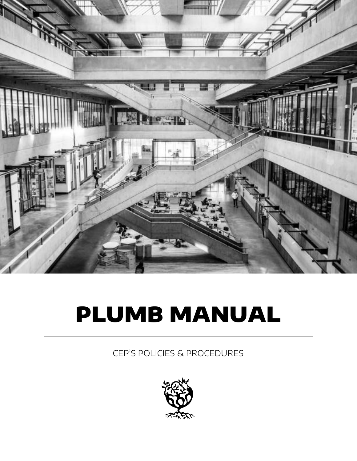

# PLUMB MANUAL

CEP'S POLICIES & PROCEDURES

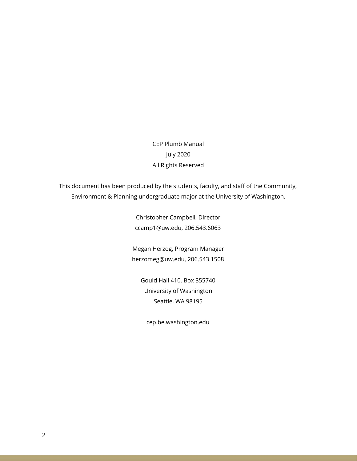CEP Plumb Manual July 2020 All Rights Reserved

This document has been produced by the students, faculty, and staff of the Community, Environment & Planning undergraduate major at the University of Washington.

> Christopher Campbell, Director ccamp1@uw.edu, 206.543.6063

Megan Herzog, Program Manager herzomeg@uw.edu, 206.543.1508

Gould Hall 410, Box 355740 University of Washington Seattle, WA 98195

cep.be.washington.edu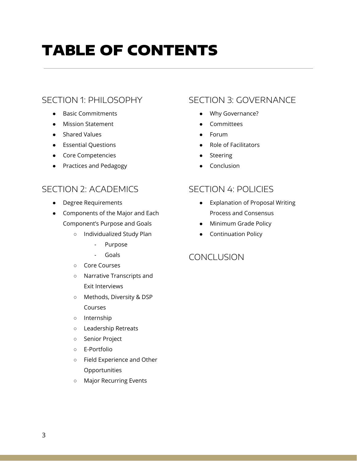## TABLE OF CONTENTS

## SECTION 1: PHILOSOPHY

- **Basic Commitments**
- Mission Statement
- Shared Values
- Essential Questions
- Core Competencies
- Practices and Pedagogy

## SECTION 2: ACADEMICS

- Degree Requirements
- Components of the Major and Each Component's Purpose and Goals
	- Individualized Study Plan
		- Purpose
		- Goals
	- Core Courses
	- Narrative Transcripts and Exit Interviews
	- Methods, Diversity & DSP Courses
	- Internship
	- Leadership Retreats
	- Senior Project
	- E-Portfolio
	- Field Experience and Other Opportunities
	- Major Recurring Events

## SECTION 3: GOVERNANCE

- Why Governance?
- **Committees**
- Forum
- Role of Facilitators
- **Steering**
- Conclusion

## SECTION 4: POLICIES

- Explanation of Proposal Writing Process and Consensus
- Minimum Grade Policy
- Continuation Policy

## **CONCLUSION**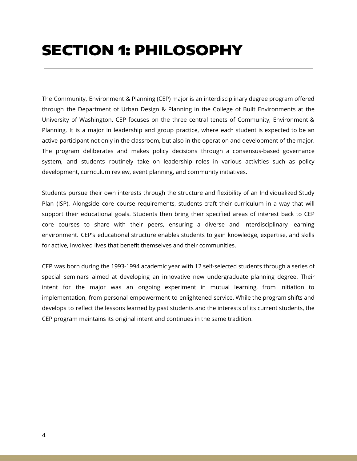The Community, Environment & Planning (CEP) major is an interdisciplinary degree program offered through the Department of Urban Design & Planning in the College of Built Environments at the University of Washington. CEP focuses on the three central tenets of Community, Environment & Planning. It is a major in leadership and group practice, where each student is expected to be an active participant not only in the classroom, but also in the operation and development of the major. The program deliberates and makes policy decisions through a consensus-based governance system, and students routinely take on leadership roles in various activities such as policy development, curriculum review, event planning, and community initiatives.

Students pursue their own interests through the structure and flexibility of an Individualized Study Plan (ISP). Alongside core course requirements, students craft their curriculum in a way that will support their educational goals. Students then bring their specified areas of interest back to CEP core courses to share with their peers, ensuring a diverse and interdisciplinary learning environment. CEP's educational structure enables students to gain knowledge, expertise, and skills for active, involved lives that benefit themselves and their communities.

CEP was born during the 1993-1994 academic year with 12 self-selected students through a series of special seminars aimed at developing an innovative new undergraduate planning degree. Their intent for the major was an ongoing experiment in mutual learning, from initiation to implementation, from personal empowerment to enlightened service. While the program shifts and develops to reflect the lessons learned by past students and the interests of its current students, the CEP program maintains its original intent and continues in the same tradition.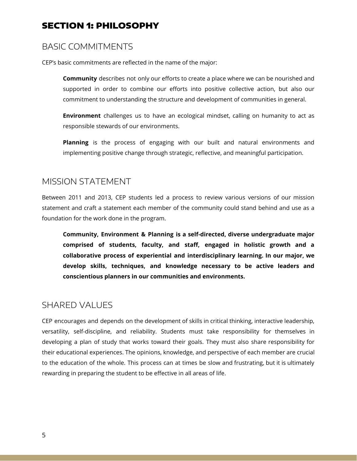## BASIC COMMITMENTS

CEP's basic commitments are reflected in the name of the major:

**Community** describes not only our efforts to create a place where we can be nourished and supported in order to combine our efforts into positive collective action, but also our commitment to understanding the structure and development of communities in general.

**Environment** challenges us to have an ecological mindset, calling on humanity to act as responsible stewards of our environments.

**Planning** is the process of engaging with our built and natural environments and implementing positive change through strategic, reflective, and meaningful participation.

### MISSION STATEMENT

Between 2011 and 2013, CEP students led a process to review various versions of our mission statement and craft a statement each member of the community could stand behind and use as a foundation for the work done in the program.

**Community, Environment & Planning is a self-directed, diverse undergraduate major comprised of students, faculty, and staff, engaged in holistic growth and a collaborative process of experiential and interdisciplinary learning. In our major, we develop skills, techniques, and knowledge necessary to be active leaders and conscientious planners in our communities and environments.**

## SHARED VALUES

CEP encourages and depends on the development of skills in critical thinking, interactive leadership, versatility, self-discipline, and reliability. Students must take responsibility for themselves in developing a plan of study that works toward their goals. They must also share responsibility for their educational experiences. The opinions, knowledge, and perspective of each member are crucial to the education of the whole. This process can at times be slow and frustrating, but it is ultimately rewarding in preparing the student to be effective in all areas of life.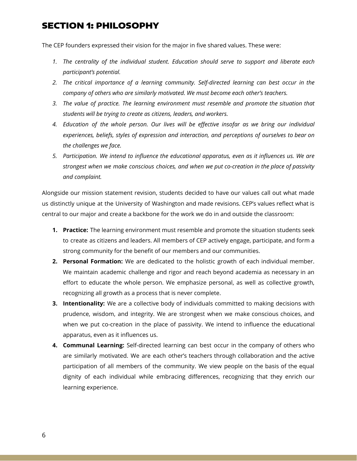The CEP founders expressed their vision for the major in five shared values. These were:

- *1. The centrality of the individual student. Education should serve to support and liberate each participant's potential.*
- *2. The critical importance of a learning community. Self-directed learning can best occur in the company of others who are similarly motivated. We must become each other's teachers.*
- *3. The value of practice. The learning environment must resemble and promote the situation that students will be trying to create as citizens, leaders, and workers.*
- *4. Education of the whole person. Our lives will be effective insofar as we bring our individual experiences, beliefs, styles of expression and interaction, and perceptions of ourselves to bear on the challenges we face.*
- *5. Participation. We intend to influence the educational apparatus, even as it influences us. We are strongest when we make conscious choices, and when we put co-creation in the place of passivity and complaint.*

Alongside our mission statement revision, students decided to have our values call out what made us distinctly unique at the University of Washington and made revisions. CEP's values reflect what is central to our major and create a backbone for the work we do in and outside the classroom:

- **1. Practice:** The learning environment must resemble and promote the situation students seek to create as citizens and leaders. All members of CEP actively engage, participate, and form a strong community for the benefit of our members and our communities.
- **2. Personal Formation:** We are dedicated to the holistic growth of each individual member. We maintain academic challenge and rigor and reach beyond academia as necessary in an effort to educate the whole person. We emphasize personal, as well as collective growth, recognizing all growth as a process that is never complete.
- **3. Intentionality:** We are a collective body of individuals committed to making decisions with prudence, wisdom, and integrity. We are strongest when we make conscious choices, and when we put co-creation in the place of passivity. We intend to influence the educational apparatus, even as it influences us.
- **4. Communal Learning:** Self-directed learning can best occur in the company of others who are similarly motivated. We are each other's teachers through collaboration and the active participation of all members of the community. We view people on the basis of the equal dignity of each individual while embracing differences, recognizing that they enrich our learning experience.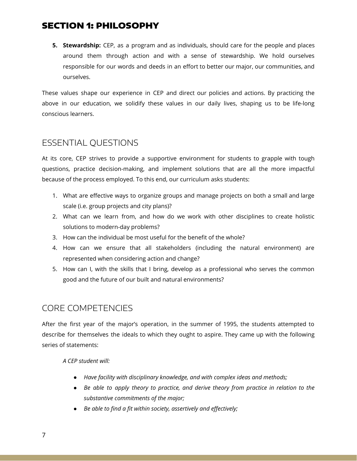**5. Stewardship:** CEP, as a program and as individuals, should care for the people and places around them through action and with a sense of stewardship. We hold ourselves responsible for our words and deeds in an effort to better our major, our communities, and ourselves.

These values shape our experience in CEP and direct our policies and actions. By practicing the above in our education, we solidify these values in our daily lives, shaping us to be life-long conscious learners.

## ESSENTIAL QUESTIONS

At its core, CEP strives to provide a supportive environment for students to grapple with tough questions, practice decision-making, and implement solutions that are all the more impactful because of the process employed. To this end, our curriculum asks students:

- 1. What are effective ways to organize groups and manage projects on both a small and large scale (i.e. group projects and city plans)?
- 2. What can we learn from, and how do we work with other disciplines to create holistic solutions to modern-day problems?
- 3. How can the individual be most useful for the benefit of the whole?
- 4. How can we ensure that all stakeholders (including the natural environment) are represented when considering action and change?
- 5. How can I, with the skills that I bring, develop as a professional who serves the common good and the future of our built and natural environments?

## CORE COMPETENCIES

After the first year of the major's operation, in the summer of 1995, the students attempted to describe for themselves the ideals to which they ought to aspire. They came up with the following series of statements:

*A CEP student will:*

- *● Have facility with disciplinary knowledge, and with complex ideas and methods;*
- *● Be able to apply theory to practice, and derive theory from practice in relation to the substantive commitments of the major;*
- *● Be able to find a fit within society, assertively and effectively;*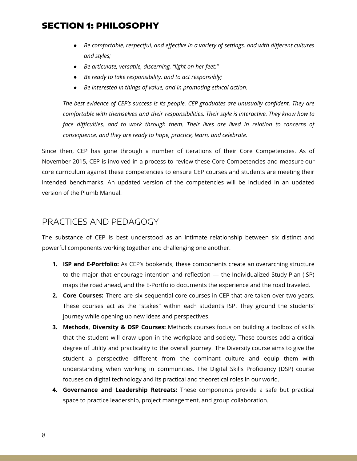- *● Be comfortable, respectful, and effective in a variety of settings, and with different cultures and styles;*
- *● Be articulate, versatile, discerning, "light on her feet;"*
- *● Be ready to take responsibility, and to act responsibly;*
- *● Be interested in things of value, and in promoting ethical action.*

*The best evidence of CEP's success is its people. CEP graduates are unusually confident. They are comfortable with themselves and their responsibilities. Their style is interactive. They know how to face difficulties, and to work through them. Their lives are lived in relation to concerns of consequence, and they are ready to hope, practice, learn, and celebrate.*

Since then, CEP has gone through a number of iterations of their Core Competencies. As of November 2015, CEP is involved in a process to review these Core Competencies and measure our core curriculum against these competencies to ensure CEP courses and students are meeting their intended benchmarks. An updated version of the competencies will be included in an updated version of the Plumb Manual.

### PRACTICES AND PEDAGOGY

The substance of CEP is best understood as an intimate relationship between six distinct and powerful components working together and challenging one another.

- **1. ISP and E-Portfolio:** As CEP's bookends, these components create an overarching structure to the major that encourage intention and reflection — the Individualized Study Plan (ISP) maps the road ahead, and the E-Portfolio documents the experience and the road traveled.
- **2. Core Courses:** There are six sequential core courses in CEP that are taken over two years. These courses act as the "stakes" within each student's ISP. They ground the students' journey while opening up new ideas and perspectives.
- **3. Methods, Diversity & DSP Courses:** Methods courses focus on building a toolbox of skills that the student will draw upon in the workplace and society. These courses add a critical degree of utility and practicality to the overall journey. The Diversity course aims to give the student a perspective different from the dominant culture and equip them with understanding when working in communities. The Digital Skills Proficiency (DSP) course focuses on digital technology and its practical and theoretical roles in our world.
- **4. Governance and Leadership Retreats:** These components provide a safe but practical space to practice leadership, project management, and group collaboration.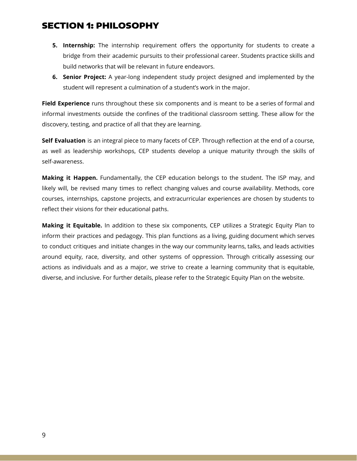- **5. Internship:** The internship requirement offers the opportunity for students to create a bridge from their academic pursuits to their professional career. Students practice skills and build networks that will be relevant in future endeavors.
- **6. Senior Project:** A year-long independent study project designed and implemented by the student will represent a culmination of a student's work in the major.

**Field Experience** runs throughout these six components and is meant to be a series of formal and informal investments outside the confines of the traditional classroom setting. These allow for the discovery, testing, and practice of all that they are learning.

**Self Evaluation** is an integral piece to many facets of CEP. Through reflection at the end of a course, as well as leadership workshops, CEP students develop a unique maturity through the skills of self-awareness.

**Making it Happen.** Fundamentally, the CEP education belongs to the student. The ISP may, and likely will, be revised many times to reflect changing values and course availability. Methods, core courses, internships, capstone projects, and extracurricular experiences are chosen by students to reflect their visions for their educational paths.

**Making it Equitable.** In addition to these six components, CEP utilizes a Strategic Equity Plan to inform their practices and pedagogy. This plan functions as a living, guiding document which serves to conduct critiques and initiate changes in the way our community learns, talks, and leads activities around equity, race, diversity, and other systems of oppression. Through critically assessing our actions as individuals and as a major, we strive to create a learning community that is equitable, diverse, and inclusive. For further details, please refer to the Strategic Equity Plan on the website.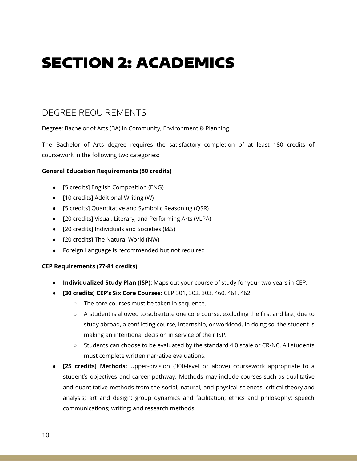## DEGREE REQUIREMENTS

Degree: Bachelor of Arts (BA) in Community, Environment & Planning

The Bachelor of Arts degree requires the satisfactory completion of at least 180 credits of coursework in the following two categories:

#### **General Education Requirements (80 credits)**

- [5 credits] English Composition (ENG)
- [10 credits] Additional Writing (W)
- [5 credits] Quantitative and Symbolic Reasoning (QSR)
- [20 credits] Visual, Literary, and Performing Arts (VLPA)
- [20 credits] Individuals and Societies (I&S)
- [20 credits] The Natural World (NW)
- Foreign Language is recommended but not required

#### **CEP Requirements (77-81 credits)**

- **Individualized Study Plan (ISP):** Maps out your course of study for your two years in CEP.
- **[30 credits] CEP's Six Core Courses:** CEP 301, 302, 303, 460, 461, 462
	- The core courses must be taken in sequence.
	- A student is allowed to substitute one core course, excluding the first and last, due to study abroad, a conflicting course, internship, or workload. In doing so, the student is making an intentional decision in service of their ISP.
	- Students can choose to be evaluated by the standard 4.0 scale or CR/NC. All students must complete written narrative evaluations.
- **[25 credits] Methods:** Upper-division (300-level or above) coursework appropriate to a student's objectives and career pathway. Methods may include courses such as qualitative and quantitative methods from the social, natural, and physical sciences; critical theory and analysis; art and design; group dynamics and facilitation; ethics and philosophy; speech communications; writing; and research methods.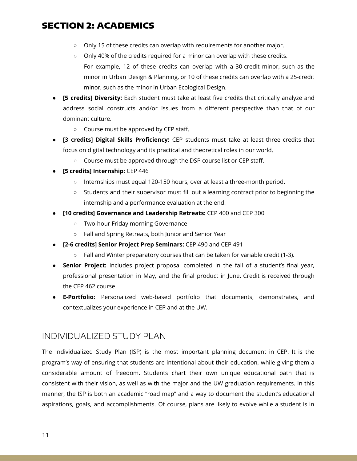- Only 15 of these credits can overlap with requirements for another major.
- Only 40% of the credits required for a minor can overlap with these credits. For example, 12 of these credits can overlap with a 30-credit minor, such as the minor in Urban Design & Planning, or 10 of these credits can overlap with a 25-credit minor, such as the minor in Urban Ecological Design.
- **[5 credits] Diversity:** Each student must take at least five credits that critically analyze and address social constructs and/or issues from a different perspective than that of our dominant culture.
	- Course must be approved by CEP staff.
- **[3 credits] Digital Skills Proficiency:** CEP students must take at least three credits that focus on digital technology and its practical and theoretical roles in our world.
	- Course must be approved through the DSP course list or CEP staff.
- **● [5 credits] Internship:** CEP 446
	- **○** Internships must equal 120-150 hours, over at least a three-month period.
	- **○** Students and their supervisor must fill out a learning contract prior to beginning the internship and a performance evaluation at the end.
- **[10 credits] Governance and Leadership Retreats:** CEP 400 and CEP 300
	- Two-hour Friday morning Governance
	- Fall and Spring Retreats, both Junior and Senior Year
- **[2-6 credits] Senior Project Prep Seminars:** CEP 490 and CEP 491
	- $\circ$  Fall and Winter preparatory courses that can be taken for variable credit (1-3).
- **● Senior Project:** Includes project proposal completed in the fall of a student's final year, professional presentation in May, and the final product in June. Credit is received through the CEP 462 course
- **● E-Portfolio:** Personalized web-based portfolio that documents, demonstrates, and contextualizes your experience in CEP and at the UW.

### INDIVIDUALIZED STUDY PLAN

The Individualized Study Plan (ISP) is the most important planning document in CEP. It is the program's way of ensuring that students are intentional about their education, while giving them a considerable amount of freedom. Students chart their own unique educational path that is consistent with their vision, as well as with the major and the UW graduation requirements. In this manner, the ISP is both an academic "road map" and a way to document the student's educational aspirations, goals, and accomplishments. Of course, plans are likely to evolve while a student is in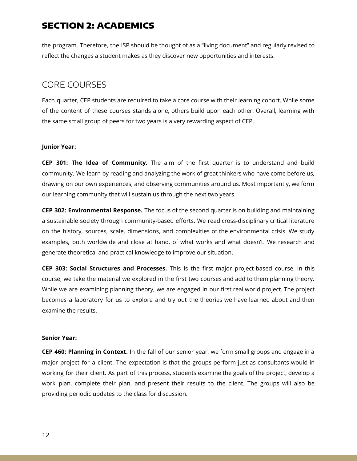the program. Therefore, the ISP should be thought of as a "living document" and regularly revised to reflect the changes a student makes as they discover new opportunities and interests.

## CORE COURSES

Each quarter, CEP students are required to take a core course with their learning cohort. While some of the content of these courses stands alone, others build upon each other. Overall, learning with the same small group of peers for two years is a very rewarding aspect of CEP.

#### **Junior Year:**

**CEP 301: The Idea of Community.** The aim of the first quarter is to understand and build community. We learn by reading and analyzing the work of great thinkers who have come before us, drawing on our own experiences, and observing communities around us. Most importantly, we form our learning community that will sustain us through the next two years.

**CEP 302: Environmental Response.** The focus of the second quarter is on building and maintaining a sustainable society through community-based efforts. We read cross-disciplinary critical literature on the history, sources, scale, dimensions, and complexities of the environmental crisis. We study examples, both worldwide and close at hand, of what works and what doesn't. We research and generate theoretical and practical knowledge to improve our situation.

**CEP 303: Social Structures and Processes.** This is the first major project-based course. In this course, we take the material we explored in the first two courses and add to them planning theory. While we are examining planning theory, we are engaged in our first real world project. The project becomes a laboratory for us to explore and try out the theories we have learned about and then examine the results.

#### **Senior Year:**

**CEP 460: Planning in Context.** In the fall of our senior year, we form small groups and engage in a major project for a client. The expectation is that the groups perform just as consultants would in working for their client. As part of this process, students examine the goals of the project, develop a work plan, complete their plan, and present their results to the client. The groups will also be providing periodic updates to the class for discussion.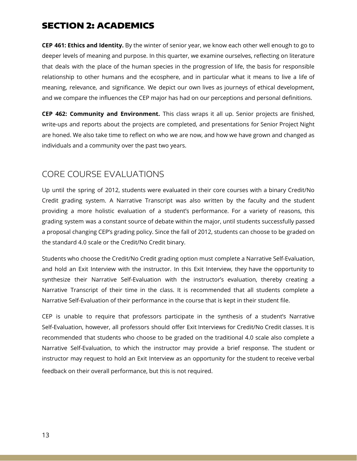**CEP 461: Ethics and Identity.** By the winter of senior year, we know each other well enough to go to deeper levels of meaning and purpose. In this quarter, we examine ourselves, reflecting on literature that deals with the place of the human species in the progression of life, the basis for responsible relationship to other humans and the ecosphere, and in particular what it means to live a life of meaning, relevance, and significance. We depict our own lives as journeys of ethical development, and we compare the influences the CEP major has had on our perceptions and personal definitions.

**CEP 462: Community and Environment.** This class wraps it all up. Senior projects are finished, write-ups and reports about the projects are completed, and presentations for Senior Project Night are honed. We also take time to reflect on who we are now, and how we have grown and changed as individuals and a community over the past two years.

## CORE COURSE EVALUATIONS

Up until the spring of 2012, students were evaluated in their core courses with a binary Credit/No Credit grading system. A Narrative Transcript was also written by the faculty and the student providing a more holistic evaluation of a student's performance. For a variety of reasons, this grading system was a constant source of debate within the major, until students successfully passed a proposal changing CEP's grading policy. Since the fall of 2012, students can choose to be graded on the standard 4.0 scale or the Credit/No Credit binary.

Students who choose the Credit/No Credit grading option must complete a Narrative Self-Evaluation, and hold an Exit Interview with the instructor. In this Exit Interview, they have the opportunity to synthesize their Narrative Self-Evaluation with the instructor's evaluation, thereby creating a Narrative Transcript of their time in the class. It is recommended that all students complete a Narrative Self-Evaluation of their performance in the course that is kept in their student file.

CEP is unable to require that professors participate in the synthesis of a student's Narrative Self-Evaluation, however, all professors should offer Exit Interviews for Credit/No Credit classes. It is recommended that students who choose to be graded on the traditional 4.0 scale also complete a Narrative Self-Evaluation, to which the instructor may provide a brief response. The student or instructor may request to hold an Exit Interview as an opportunity for the student to receive verbal feedback on their overall performance, but this is not required.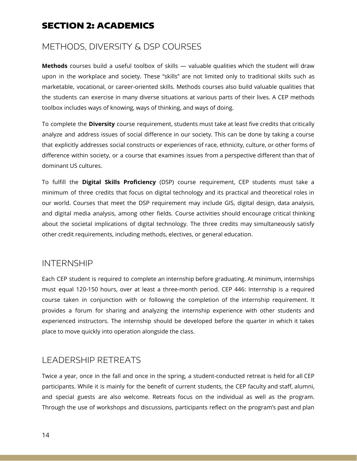## METHODS, DIVERSITY & DSP COURSES

**Methods** courses build a useful toolbox of skills — valuable qualities which the student will draw upon in the workplace and society. These "skills" are not limited only to traditional skills such as marketable, vocational, or career-oriented skills. Methods courses also build valuable qualities that the students can exercise in many diverse situations at various parts of their lives. A CEP methods toolbox includes ways of knowing, ways of thinking, and ways of doing.

To complete the **Diversity** course requirement, students must take at least five credits that critically analyze and address issues of social difference in our society. This can be done by taking a course that explicitly addresses social constructs or experiences of race, ethnicity, culture, or other forms of difference within society, or a course that examines issues from a perspective different than that of dominant US cultures.

To fulfill the **Digital Skills Proficiency** (DSP) course requirement, CEP students must take a minimum of three credits that focus on digital technology and its practical and theoretical roles in our world. Courses that meet the DSP requirement may include GIS, digital design, data analysis, and digital media analysis, among other fields. Course activities should encourage critical thinking about the societal implications of digital technology. The three credits may simultaneously satisfy other credit requirements, including methods, electives, or general education.

### INTERNSHIP

Each CEP student is required to complete an internship before graduating. At minimum, internships must equal 120-150 hours, over at least a three-month period. CEP 446: Internship is a required course taken in conjunction with or following the completion of the internship requirement. It provides a forum for sharing and analyzing the internship experience with other students and experienced instructors. The internship should be developed before the quarter in which it takes place to move quickly into operation alongside the class.

## LEADERSHIP RETREATS

Twice a year, once in the fall and once in the spring, a student-conducted retreat is held for all CEP participants. While it is mainly for the benefit of current students, the CEP faculty and staff, alumni, and special guests are also welcome. Retreats focus on the individual as well as the program. Through the use of workshops and discussions, participants reflect on the program's past and plan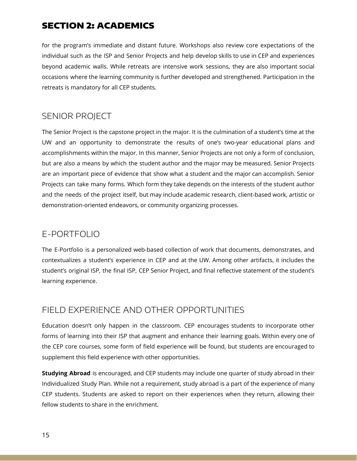for the program's immediate and distant future. Workshops also review core expectations of the individual such as the ISP and Senior Projects and help develop skills to use in CEP and experiences beyond academic walls. While retreats are intensive work sessions, they are also important social occasions where the learning community is further developed and strengthened. Participation in the retreats is mandatory for all CEP students.

## SENIOR PROJECT

The Senior Project is the capstone project in the major. It is the culmination of a student's time at the UW and an opportunity to demonstrate the results of one's two-year educational plans and accomplishments within the major. In this manner, Senior Projects are not only a form of conclusion, but are also a means by which the student author and the major may be measured. Senior Projects are an important piece of evidence that show what a student and the major can accomplish. Senior Projects can take many forms. Which form they take depends on the interests of the student author and the needs of the project itself, but may include academic research, client-based work, artistic or demonstration-oriented endeavors, or community organizing processes.

## E-PORTFOLIO

The E-Portfolio is a personalized web-based collection of work that documents, demonstrates, and contextualizes a student's experience in CEP and at the UW. Among other artifacts, it includes the student's original ISP, the final ISP, CEP Senior Project, and final reflective statement of the student's learning experience.

## FIELD EXPERIENCE AND OTHER OPPORTUNITIES

Education doesn't only happen in the classroom. CEP encourages students to incorporate other forms of learning into their ISP that augment and enhance their learning goals. Within every one of the CEP core courses, some form of field experience will be found, but students are encouraged to supplement this field experience with other opportunities.

**Studying Abroad** is encouraged, and CEP students may include one quarter of study abroad in their Individualized Study Plan. While not a requirement, study abroad is a part of the experience of many CEP students. Students are asked to report on their experiences when they return, allowing their fellow students to share in the enrichment.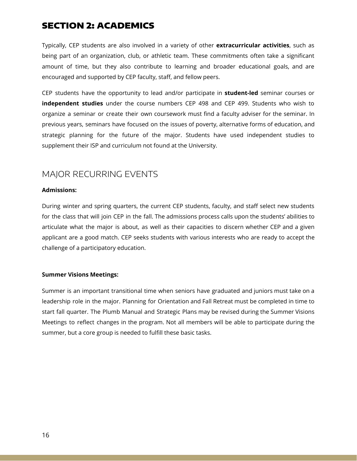Typically, CEP students are also involved in a variety of other **extracurricular activities**, such as being part of an organization, club, or athletic team. These commitments often take a significant amount of time, but they also contribute to learning and broader educational goals, and are encouraged and supported by CEP faculty, staff, and fellow peers.

CEP students have the opportunity to lead and/or participate in **student-led** seminar courses or **independent studies** under the course numbers CEP 498 and CEP 499. Students who wish to organize a seminar or create their own coursework must find a faculty adviser for the seminar. In previous years, seminars have focused on the issues of poverty, alternative forms of education, and strategic planning for the future of the major. Students have used independent studies to supplement their ISP and curriculum not found at the University.

## MAJOR RECURRING EVENTS

#### **Admissions:**

During winter and spring quarters, the current CEP students, faculty, and staff select new students for the class that will join CEP in the fall. The admissions process calls upon the students' abilities to articulate what the major is about, as well as their capacities to discern whether CEP and a given applicant are a good match. CEP seeks students with various interests who are ready to accept the challenge of a participatory education.

#### **Summer Visions Meetings:**

Summer is an important transitional time when seniors have graduated and juniors must take on a leadership role in the major. Planning for Orientation and Fall Retreat must be completed in time to start fall quarter. The Plumb Manual and Strategic Plans may be revised during the Summer Visions Meetings to reflect changes in the program. Not all members will be able to participate during the summer, but a core group is needed to fulfill these basic tasks.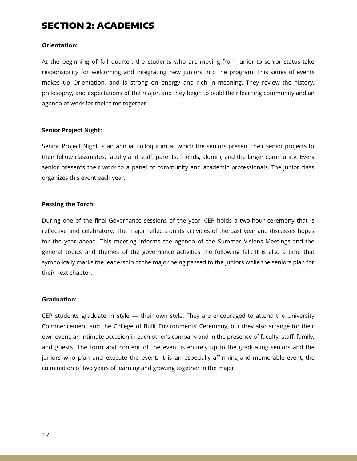#### **Orientation:**

At the beginning of fall quarter, the students who are moving from junior to senior status take responsibility for welcoming and integrating new juniors into the program. This series of events makes up Orientation, and is strong on energy and rich in meaning. They review the history, philosophy, and expectations of the major, and they begin to build their learning community and an agenda of work for their time together.

#### **Senior Project Night:**

Senior Project Night is an annual colloquium at which the seniors present their senior projects to their fellow classmates, faculty and staff, parents, friends, alumni, and the larger community. Every senior presents their work to a panel of community and academic professionals. The junior class organizes this event each year.

#### **Passing the Torch:**

During one of the final Governance sessions of the year, CEP holds a two-hour ceremony that is reflective and celebratory. The major reflects on its activities of the past year and discusses hopes for the year ahead. This meeting informs the agenda of the Summer Visions Meetings and the general topics and themes of the governance activities the following fall. It is also a time that symbolically marks the leadership of the major being passed to the juniors while the seniors plan for their next chapter.

#### **Graduation:**

CEP students graduate in style — their own style. They are encouraged to attend the University Commencement and the College of Built Environments' Ceremony, but they also arrange for their own event, an intimate occasion in each other's company and in the presence of faculty, staff, family, and guests. The form and content of the event is entirely up to the graduating seniors and the juniors who plan and execute the event. It is an especially affirming and memorable event, the culmination of two years of learning and growing together in the major.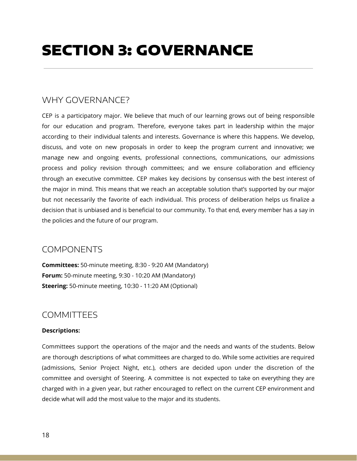## WHY GOVERNANCE?

CEP is a participatory major. We believe that much of our learning grows out of being responsible for our education and program. Therefore, everyone takes part in leadership within the major according to their individual talents and interests. Governance is where this happens. We develop, discuss, and vote on new proposals in order to keep the program current and innovative; we manage new and ongoing events, professional connections, communications, our admissions process and policy revision through committees; and we ensure collaboration and efficiency through an executive committee. CEP makes key decisions by consensus with the best interest of the major in mind. This means that we reach an acceptable solution that's supported by our major but not necessarily the favorite of each individual. This process of deliberation helps us finalize a decision that is unbiased and is beneficial to our community. To that end, every member has a say in the policies and the future of our program.

## COMPONENTS

**Committees:** 50-minute meeting, 8:30 - 9:20 AM (Mandatory) **Forum:** 50-minute meeting, 9:30 - 10:20 AM (Mandatory) **Steering:** 50-minute meeting, 10:30 - 11:20 AM (Optional)

## **COMMITTEFS**

#### **Descriptions:**

Committees support the operations of the major and the needs and wants of the students. Below are thorough descriptions of what committees are charged to do. While some activities are required (admissions, Senior Project Night, etc.), others are decided upon under the discretion of the committee and oversight of Steering. A committee is not expected to take on everything they are charged with in a given year, but rather encouraged to reflect on the current CEP environment and decide what will add the most value to the major and its students.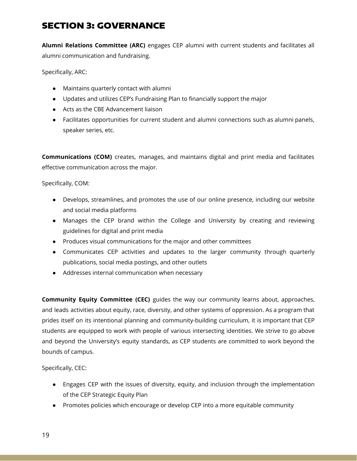**Alumni Relations Committee (ARC)** engages CEP alumni with current students and facilitates all alumni communication and fundraising.

Specifically, ARC:

- Maintains quarterly contact with alumni
- Updates and utilizes CEP's Fundraising Plan to financially support the major
- Acts as the CBE Advancement liaison
- Facilitates opportunities for current student and alumni connections such as alumni panels, speaker series, etc.

**Communications (COM)** creates, manages, and maintains digital and print media and facilitates effective communication across the major.

Specifically, COM:

- Develops, streamlines, and promotes the use of our online presence, including our website and social media platforms
- Manages the CEP brand within the College and University by creating and reviewing guidelines for digital and print media
- Produces visual communications for the major and other committees
- Communicates CEP activities and updates to the larger community through quarterly publications, social media postings, and other outlets
- Addresses internal communication when necessary

**Community Equity Committee (CEC)** guides the way our community learns about, approaches, and leads activities about equity, race, diversity, and other systems of oppression. As a program that prides itself on its intentional planning and community-building curriculum, it is important that CEP students are equipped to work with people of various intersecting identities. We strive to go above and beyond the University's equity standards, as CEP students are committed to work beyond the bounds of campus.

Specifically, CEC:

- Engages CEP with the issues of diversity, equity, and inclusion through the implementation of the CEP Strategic Equity Plan
- Promotes policies which encourage or develop CEP into a more equitable community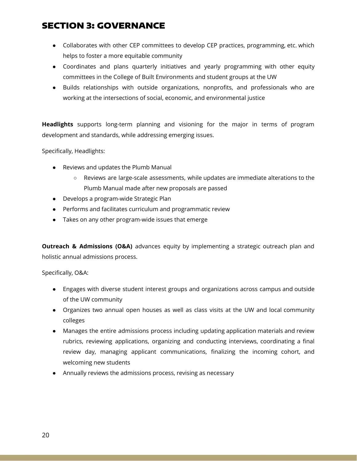- Collaborates with other CEP committees to develop CEP practices, programming, etc. which helps to foster a more equitable community
- Coordinates and plans quarterly initiatives and yearly programming with other equity committees in the College of Built Environments and student groups at the UW
- Builds relationships with outside organizations, nonprofits, and professionals who are working at the intersections of social, economic, and environmental justice

**Headlights** supports long-term planning and visioning for the major in terms of program development and standards, while addressing emerging issues.

Specifically, Headlights:

- Reviews and updates the Plumb Manual
	- Reviews are large-scale assessments, while updates are immediate alterations to the Plumb Manual made after new proposals are passed
- Develops a program-wide Strategic Plan
- Performs and facilitates curriculum and programmatic review
- Takes on any other program-wide issues that emerge

**Outreach & Admissions (O&A)** advances equity by implementing a strategic outreach plan and holistic annual admissions process.

Specifically, O&A:

- Engages with diverse student interest groups and organizations across campus and outside of the UW community
- Organizes two annual open houses as well as class visits at the UW and local community colleges
- Manages the entire admissions process including updating application materials and review rubrics, reviewing applications, organizing and conducting interviews, coordinating a final review day, managing applicant communications, finalizing the incoming cohort, and welcoming new students
- Annually reviews the admissions process, revising as necessary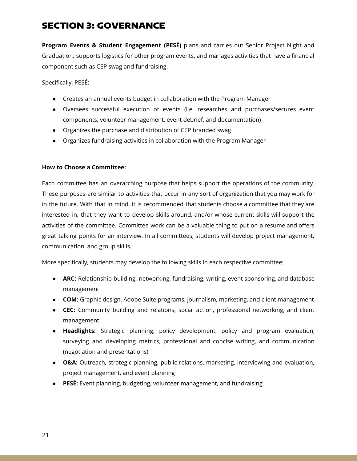**Program Events & Student Engagement (PESÉ)** plans and carries out Senior Project Night and Graduation, supports logistics for other program events, and manages activities that have a financial component such as CEP swag and fundraising.

Specifically, PESÉ:

- Creates an annual events budget in collaboration with the Program Manager
- Oversees successful execution of events (i.e. researches and purchases/secures event components, volunteer management, event debrief, and documentation)
- Organizes the purchase and distribution of CEP branded swag
- Organizes fundraising activities in collaboration with the Program Manager

#### **How to Choose a Committee:**

Each committee has an overarching purpose that helps support the operations of the community. These purposes are similar to activities that occur in any sort of organization that you may work for in the future. With that in mind, it is recommended that students choose a committee that they are interested in, that they want to develop skills around, and/or whose current skills will support the activities of the committee. Committee work can be a valuable thing to put on a resume and offers great talking points for an interview. In all committees, students will develop project management, communication, and group skills.

More specifically, students may develop the following skills in each respective committee:

- **ARC:** Relationship-building, networking, fundraising, writing, event sponsoring, and database management
- **COM:** Graphic design, Adobe Suite programs, journalism, marketing, and client management
- **CEC:** Community building and relations, social action, professional networking, and client management
- **Headlights:** Strategic planning, policy development, policy and program evaluation, surveying and developing metrics, professional and concise writing, and communication (negotiation and presentations)
- **O&A:** Outreach, strategic planning, public relations, marketing, interviewing and evaluation, project management, and event planning
- **PESÉ:** Event planning, budgeting, volunteer management, and fundraising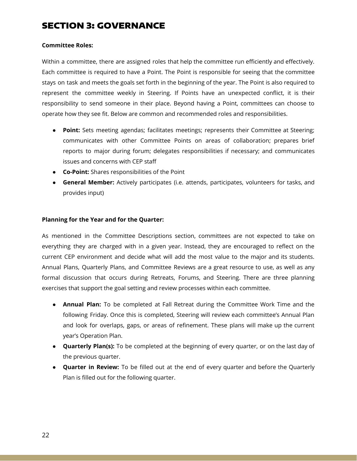#### **Committee Roles:**

Within a committee, there are assigned roles that help the committee run efficiently and effectively. Each committee is required to have a Point. The Point is responsible for seeing that the committee stays on task and meets the goals set forth in the beginning of the year. The Point is also required to represent the committee weekly in Steering. If Points have an unexpected conflict, it is their responsibility to send someone in their place. Beyond having a Point, committees can choose to operate how they see fit. Below are common and recommended roles and responsibilities.

- **Point:** Sets meeting agendas; facilitates meetings; represents their Committee at Steering; communicates with other Committee Points on areas of collaboration; prepares brief reports to major during forum; delegates responsibilities if necessary; and communicates issues and concerns with CEP staff
- **Co-Point:** Shares responsibilities of the Point
- **General Member:** Actively participates (i.e. attends, participates, volunteers for tasks, and provides input)

#### **Planning for the Year and for the Quarter:**

As mentioned in the Committee Descriptions section, committees are not expected to take on everything they are charged with in a given year. Instead, they are encouraged to reflect on the current CEP environment and decide what will add the most value to the major and its students. Annual Plans, Quarterly Plans, and Committee Reviews are a great resource to use, as well as any formal discussion that occurs during Retreats, Forums, and Steering. There are three planning exercises that support the goal setting and review processes within each committee.

- **Annual Plan:** To be completed at Fall Retreat during the Committee Work Time and the following Friday. Once this is completed, Steering will review each committee's Annual Plan and look for overlaps, gaps, or areas of refinement. These plans will make up the current year's Operation Plan.
- **Quarterly Plan(s):** To be completed at the beginning of every quarter, or on the last day of the previous quarter.
- **Quarter in Review:** To be filled out at the end of every quarter and before the Quarterly Plan is filled out for the following quarter.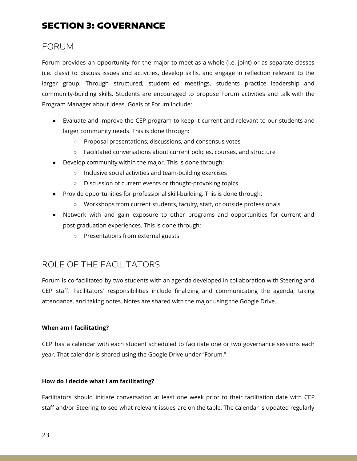## FORUM

Forum provides an opportunity for the major to meet as a whole (i.e. joint) or as separate classes (i.e. class) to discuss issues and activities, develop skills, and engage in reflection relevant to the larger group. Through structured, student-led meetings, students practice leadership and community-building skills. Students are encouraged to propose Forum activities and talk with the Program Manager about ideas. Goals of Forum include:

- Evaluate and improve the CEP program to keep it current and relevant to our students and larger community needs. This is done through:
	- Proposal presentations, discussions, and consensus votes
	- Facilitated conversations about current policies, courses, and structure
- Develop community within the major. This is done through:
	- Inclusive social activities and team-building exercises
	- Discussion of current events or thought-provoking topics
- Provide opportunities for professional skill-building. This is done through:
	- Workshops from current students, faculty, staff, or outside professionals
- Network with and gain exposure to other programs and opportunities for current and post-graduation experiences. This is done through:
	- Presentations from external guests

## ROLE OF THE FACILITATORS

Forum is co-facilitated by two students with an agenda developed in collaboration with Steering and CEP staff. Facilitators' responsibilities include finalizing and communicating the agenda, taking attendance, and taking notes. Notes are shared with the major using the Google Drive.

#### **When am I facilitating?**

CEP has a calendar with each student scheduled to facilitate one or two governance sessions each year. That calendar is shared using the Google Drive under "Forum."

#### **How do I decide what I am facilitating?**

Facilitators should initiate conversation at least one week prior to their facilitation date with CEP staff and/or Steering to see what relevant issues are on the table. The calendar is updated regularly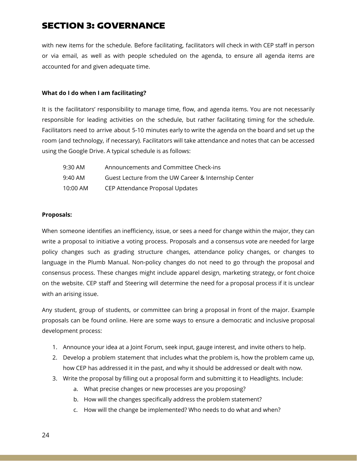with new items for the schedule. Before facilitating, facilitators will check in with CEP staff in person or via email, as well as with people scheduled on the agenda, to ensure all agenda items are accounted for and given adequate time.

#### **What do I do when I am facilitating?**

It is the facilitators' responsibility to manage time, flow, and agenda items. You are not necessarily responsible for leading activities on the schedule, but rather facilitating timing for the schedule. Facilitators need to arrive about 5-10 minutes early to write the agenda on the board and set up the room (and technology, if necessary). Facilitators will take attendance and notes that can be accessed using the Google Drive. A typical schedule is as follows:

| 9:30 AM  | Announcements and Committee Check-ins                |
|----------|------------------------------------------------------|
| 9:40 AM  | Guest Lecture from the UW Career & Internship Center |
| 10:00 AM | CEP Attendance Proposal Updates                      |

#### **Proposals:**

When someone identifies an inefficiency, issue, or sees a need for change within the major, they can write a proposal to initiative a voting process. Proposals and a consensus vote are needed for large policy changes such as grading structure changes, attendance policy changes, or changes to language in the Plumb Manual. Non-policy changes do not need to go through the proposal and consensus process. These changes might include apparel design, marketing strategy, or font choice on the website. CEP staff and Steering will determine the need for a proposal process if it is unclear with an arising issue.

Any student, group of students, or committee can bring a proposal in front of the major. Example proposals can be found online. Here are some ways to ensure a democratic and inclusive proposal development process:

- 1. Announce your idea at a Joint Forum, seek input, gauge interest, and invite others to help.
- 2. Develop a problem statement that includes what the problem is, how the problem came up, how CEP has addressed it in the past, and why it should be addressed or dealt with now.
- 3. Write the proposal by filling out a proposal form and submitting it to Headlights. Include:
	- a. What precise changes or new processes are you proposing?
	- b. How will the changes specifically address the problem statement?
	- c. How will the change be implemented? Who needs to do what and when?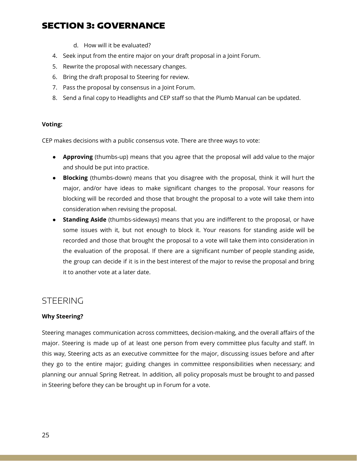- d. How will it be evaluated?
- 4. Seek input from the entire major on your draft proposal in a Joint Forum.
- 5. Rewrite the proposal with necessary changes.
- 6. Bring the draft proposal to Steering for review.
- 7. Pass the proposal by consensus in a Joint Forum.
- 8. Send a final copy to Headlights and CEP staff so that the Plumb Manual can be updated.

#### **Voting:**

CEP makes decisions with a public consensus vote. There are three ways to vote:

- **Approving** (thumbs-up) means that you agree that the proposal will add value to the major and should be put into practice.
- **Blocking** (thumbs-down) means that you disagree with the proposal, think it will hurt the major, and/or have ideas to make significant changes to the proposal. Your reasons for blocking will be recorded and those that brought the proposal to a vote will take them into consideration when revising the proposal.
- **Standing Aside** (thumbs-sideways) means that you are indifferent to the proposal, or have some issues with it, but not enough to block it. Your reasons for standing aside will be recorded and those that brought the proposal to a vote will take them into consideration in the evaluation of the proposal. If there are a significant number of people standing aside, the group can decide if it is in the best interest of the major to revise the proposal and bring it to another vote at a later date.

### STEERING

#### **Why Steering?**

Steering manages communication across committees, decision-making, and the overall affairs of the major. Steering is made up of at least one person from every committee plus faculty and staff. In this way, Steering acts as an executive committee for the major, discussing issues before and after they go to the entire major; guiding changes in committee responsibilities when necessary; and planning our annual Spring Retreat. In addition, all policy proposals must be brought to and passed in Steering before they can be brought up in Forum for a vote.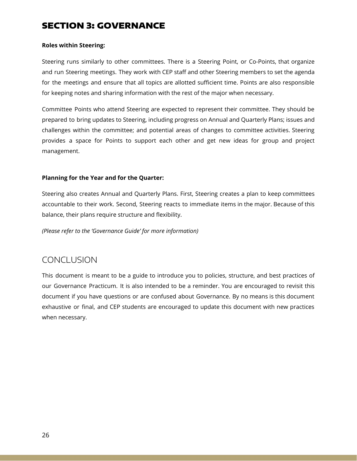#### **Roles within Steering:**

Steering runs similarly to other committees. There is a Steering Point, or Co-Points, that organize and run Steering meetings. They work with CEP staff and other Steering members to set the agenda for the meetings and ensure that all topics are allotted sufficient time. Points are also responsible for keeping notes and sharing information with the rest of the major when necessary.

Committee Points who attend Steering are expected to represent their committee. They should be prepared to bring updates to Steering, including progress on Annual and Quarterly Plans; issues and challenges within the committee; and potential areas of changes to committee activities. Steering provides a space for Points to support each other and get new ideas for group and project management.

#### **Planning for the Year and for the Quarter:**

Steering also creates Annual and Quarterly Plans. First, Steering creates a plan to keep committees accountable to their work. Second, Steering reacts to immediate items in the major. Because of this balance, their plans require structure and flexibility.

*(Please refer to the 'Governance Guide' for more information)*

## **CONCLUSION**

This document is meant to be a guide to introduce you to policies, structure, and best practices of our Governance Practicum. It is also intended to be a reminder. You are encouraged to revisit this document if you have questions or are confused about Governance. By no means is this document exhaustive or final, and CEP students are encouraged to update this document with new practices when necessary.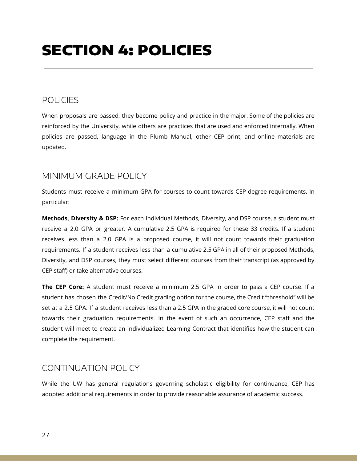## SECTION 4: POLICIES

## POLICIES

When proposals are passed, they become policy and practice in the major. Some of the policies are reinforced by the University, while others are practices that are used and enforced internally. When policies are passed, language in the Plumb Manual, other CEP print, and online materials are updated.

## MINIMUM GRADE POLICY

Students must receive a minimum GPA for courses to count towards CEP degree requirements. In particular:

**Methods, Diversity & DSP:** For each individual Methods, Diversity, and DSP course, a student must receive a 2.0 GPA or greater. A cumulative 2.5 GPA is required for these 33 credits. If a student receives less than a 2.0 GPA is a proposed course, it will not count towards their graduation requirements. If a student receives less than a cumulative 2.5 GPA in all of their proposed Methods, Diversity, and DSP courses, they must select different courses from their transcript (as approved by CEP staff) or take alternative courses.

**The CEP Core:** A student must receive a minimum 2.5 GPA in order to pass a CEP course. If a student has chosen the Credit/No Credit grading option for the course, the Credit "threshold" will be set at a 2.5 GPA. If a student receives less than a 2.5 GPA in the graded core course, it will not count towards their graduation requirements. In the event of such an occurrence, CEP staff and the student will meet to create an Individualized Learning Contract that identifies how the student can complete the requirement.

## CONTINUATION POLICY

While the UW has general regulations governing scholastic eligibility for continuance, CEP has adopted additional requirements in order to provide reasonable assurance of academic success.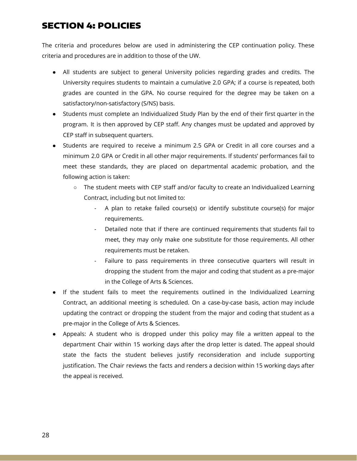## SECTION 4: POLICIES

The criteria and procedures below are used in administering the CEP continuation policy. These criteria and procedures are in addition to those of the UW.

- All students are subject to general University policies regarding grades and credits. The University requires students to maintain a cumulative 2.0 GPA; if a course is repeated, both grades are counted in the GPA. No course required for the degree may be taken on a satisfactory/non-satisfactory (S/NS) basis.
- Students must complete an Individualized Study Plan by the end of their first quarter in the program. It is then approved by CEP staff. Any changes must be updated and approved by CEP staff in subsequent quarters.
- Students are required to receive a minimum 2.5 GPA or Credit in all core courses and a minimum 2.0 GPA or Credit in all other major requirements. If students' performances fail to meet these standards, they are placed on departmental academic probation, and the following action is taken:
	- $\circ$  The student meets with CEP staff and/or faculty to create an Individualized Learning Contract, including but not limited to:
		- A plan to retake failed course(s) or identify substitute course(s) for major requirements.
		- Detailed note that if there are continued requirements that students fail to meet, they may only make one substitute for those requirements. All other requirements must be retaken.
		- Failure to pass requirements in three consecutive quarters will result in dropping the student from the major and coding that student as a pre-major in the College of Arts & Sciences.
- If the student fails to meet the requirements outlined in the Individualized Learning Contract, an additional meeting is scheduled. On a case-by-case basis, action may include updating the contract or dropping the student from the major and coding that student as a pre-major in the College of Arts & Sciences.
- Appeals: A student who is dropped under this policy may file a written appeal to the department Chair within 15 working days after the drop letter is dated. The appeal should state the facts the student believes justify reconsideration and include supporting justification. The Chair reviews the facts and renders a decision within 15 working days after the appeal is received.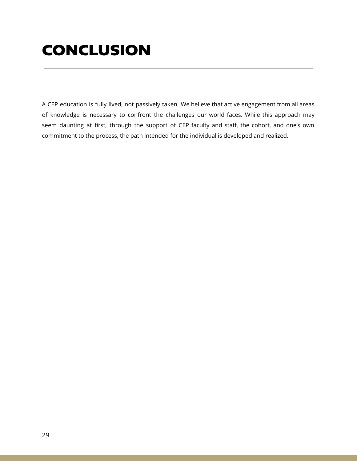## CONCLUSION

A CEP education is fully lived, not passively taken. We believe that active engagement from all areas of knowledge is necessary to confront the challenges our world faces. While this approach may seem daunting at first, through the support of CEP faculty and staff, the cohort, and one's own commitment to the process, the path intended for the individual is developed and realized.